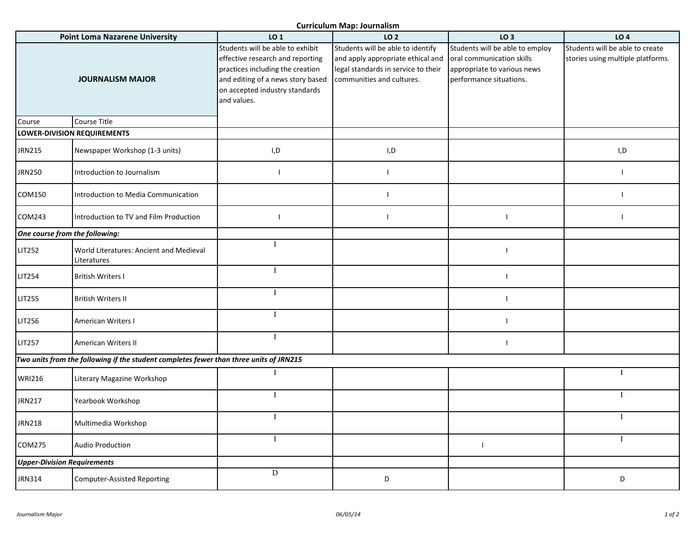**Curriculum Map: Journalism**

| <b>Point Loma Nazarene University</b> |                                                                                        | LO 1                                                                                                                                                                                           | carricalam map: Joannansm<br>LO <sub>2</sub>                                                                                               | LO <sub>3</sub>                                                                                                        | LO <sub>4</sub>                                                      |
|---------------------------------------|----------------------------------------------------------------------------------------|------------------------------------------------------------------------------------------------------------------------------------------------------------------------------------------------|--------------------------------------------------------------------------------------------------------------------------------------------|------------------------------------------------------------------------------------------------------------------------|----------------------------------------------------------------------|
| <b>JOURNALISM MAJOR</b>               |                                                                                        | Students will be able to exhibit<br>effective research and reporting<br>practices including the creation<br>and editing of a news story based<br>on accepted industry standards<br>and values. | Students will be able to identify<br>and apply appropriate ethical and<br>legal standards in service to their<br>communities and cultures. | Students will be able to employ<br>oral communication skills<br>appropriate to various news<br>performance situations. | Students will be able to create<br>stories using multiple platforms. |
| Course                                | Course Title                                                                           |                                                                                                                                                                                                |                                                                                                                                            |                                                                                                                        |                                                                      |
| <b>LOWER-DIVISION REQUIREMENTS</b>    |                                                                                        |                                                                                                                                                                                                |                                                                                                                                            |                                                                                                                        |                                                                      |
| JRN215                                | Newspaper Workshop (1-3 units)                                                         | I,D                                                                                                                                                                                            | I,D                                                                                                                                        |                                                                                                                        | I,D                                                                  |
| JRN250                                | Introduction to Journalism                                                             | $\mathbf{I}$                                                                                                                                                                                   | $\mathbf{I}$                                                                                                                               |                                                                                                                        | $\mathsf{l}$                                                         |
| COM150                                | Introduction to Media Communication                                                    |                                                                                                                                                                                                | $\blacksquare$                                                                                                                             |                                                                                                                        | $\mathbf{I}$                                                         |
| COM243                                | Introduction to TV and Film Production                                                 |                                                                                                                                                                                                | $\overline{\phantom{a}}$                                                                                                                   | $\overline{\phantom{a}}$                                                                                               | $\mathbf{I}$                                                         |
| One course from the following:        |                                                                                        |                                                                                                                                                                                                |                                                                                                                                            |                                                                                                                        |                                                                      |
| LIT252                                | World Literatures: Ancient and Medieval<br>Literatures                                 |                                                                                                                                                                                                |                                                                                                                                            | $\overline{\phantom{a}}$                                                                                               |                                                                      |
| <b>LIT254</b>                         | <b>British Writers I</b>                                                               | T                                                                                                                                                                                              |                                                                                                                                            | $\overline{\phantom{a}}$                                                                                               |                                                                      |
| LIT255                                | <b>British Writers II</b>                                                              | Т                                                                                                                                                                                              |                                                                                                                                            | $\overline{\phantom{a}}$                                                                                               |                                                                      |
| LIT256                                | American Writers I                                                                     | T                                                                                                                                                                                              |                                                                                                                                            | $\overline{\phantom{a}}$                                                                                               |                                                                      |
| LIT257                                | American Writers II                                                                    | 1                                                                                                                                                                                              |                                                                                                                                            | $\overline{1}$                                                                                                         |                                                                      |
|                                       | Two units from the following if the student completes fewer than three units of JRN215 |                                                                                                                                                                                                |                                                                                                                                            |                                                                                                                        |                                                                      |
| WRI216                                | Literary Magazine Workshop                                                             | T                                                                                                                                                                                              |                                                                                                                                            |                                                                                                                        | $\mathbf{I}$                                                         |
| JRN217                                | Yearbook Workshop                                                                      | T                                                                                                                                                                                              |                                                                                                                                            |                                                                                                                        | $\mathbf I$                                                          |
| JRN218                                | Multimedia Workshop                                                                    | I                                                                                                                                                                                              |                                                                                                                                            |                                                                                                                        | T                                                                    |
| COM275                                | <b>Audio Production</b>                                                                | $\mathbf{I}$                                                                                                                                                                                   |                                                                                                                                            | I                                                                                                                      | $\mathbf{I}$                                                         |
| <b>Upper-Division Requirements</b>    |                                                                                        |                                                                                                                                                                                                |                                                                                                                                            |                                                                                                                        |                                                                      |
| JRN314                                | <b>Computer-Assisted Reporting</b>                                                     | $\mathbf D$                                                                                                                                                                                    | D                                                                                                                                          |                                                                                                                        | D                                                                    |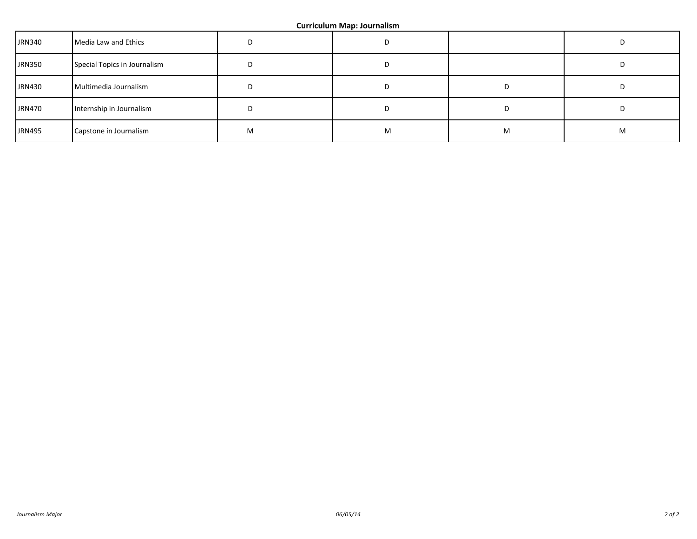| <b>JRN340</b> | Media Law and Ethics         |   | D |   |   |
|---------------|------------------------------|---|---|---|---|
| <b>JRN350</b> | Special Topics in Journalism | υ | D |   | υ |
| <b>JRN430</b> | Multimedia Journalism        | ш | D |   |   |
| <b>JRN470</b> | Internship in Journalism     |   | D |   |   |
| <b>JRN495</b> | Capstone in Journalism       | М | M | M | м |